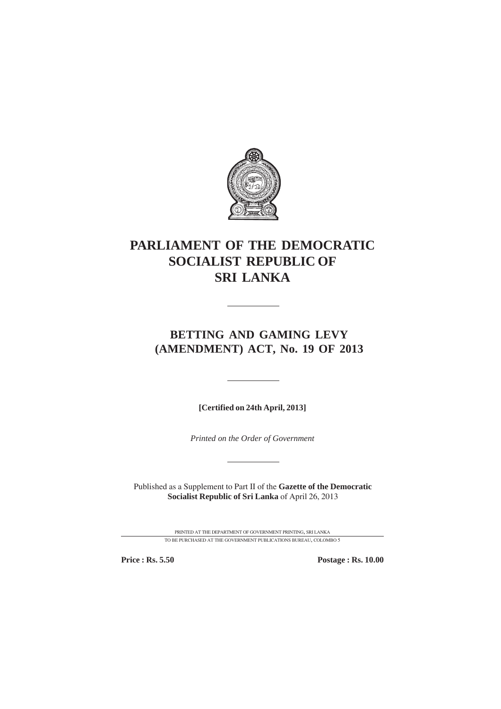

# **PARLIAMENT OF THE DEMOCRATIC SOCIALIST REPUBLIC OF SRI LANKA**

# **BETTING AND GAMING LEVY (AMENDMENT) ACT, No. 19 OF 2013**

**[Certified on 24th April, 2013]**

*Printed on the Order of Government*

Published as a Supplement to Part II of the **Gazette of the Democratic Socialist Republic of Sri Lanka** of April 26, 2013

> PRINTED AT THE DEPARTMENT OF GOVERNMENT PRINTING, SRI LANKA TO BE PURCHASED AT THE GOVERNMENT PUBLICATIONS BUREAU, COLOMBO 5

**Price : Rs. 5.50 Postage : Rs. 10.00**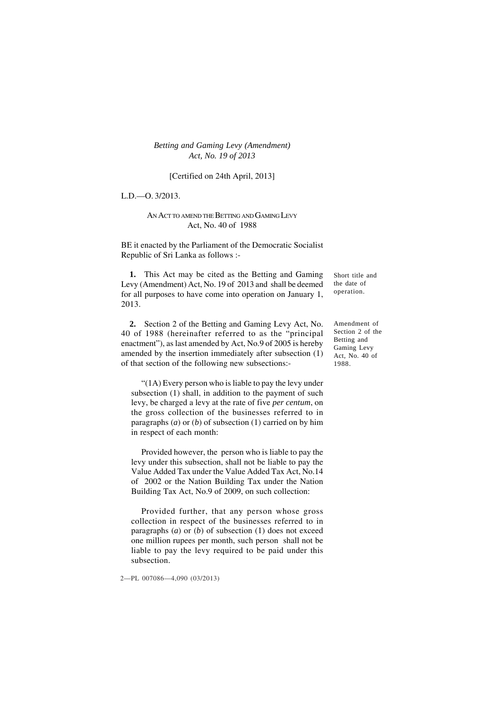*Betting and Gaming Levy (Amendment)* 1 *Act, No. 19 of 2013*

#### [Certified on 24th April, 2013]

L.D.—O. 3/2013.

#### AN ACT TO AMEND THE BETTING AND GAMING LEVY Act, No. 40 of 1988

BE it enacted by the Parliament of the Democratic Socialist Republic of Sri Lanka as follows :-

**1.** This Act may be cited as the Betting and Gaming Levy (Amendment) Act, No. 19 of 2013 and shall be deemed for all purposes to have come into operation on January 1, 2013.

**2.** Section 2 of the Betting and Gaming Levy Act, No. 40 of 1988 (hereinafter referred to as the "principal enactment"), as last amended by Act, No.9 of 2005 is hereby amended by the insertion immediately after subsection (1) of that section of the following new subsections:-

"(1A) Every person who is liable to pay the levy under subsection (1) shall, in addition to the payment of such levy, be charged a levy at the rate of five *per centum*, on the gross collection of the businesses referred to in paragraphs (*a*) or (*b*) of subsection (1) carried on by him in respect of each month:

Provided however, the person who is liable to pay the levy under this subsection, shall not be liable to pay the Value Added Tax under the Value Added Tax Act, No.14 of 2002 or the Nation Building Tax under the Nation Building Tax Act, No.9 of 2009, on such collection:

Provided further, that any person whose gross collection in respect of the businesses referred to in paragraphs (*a*) or (*b*) of subsection (1) does not exceed one million rupees per month, such person shall not be liable to pay the levy required to be paid under this subsection.

2—PL 007086—4,090 (03/2013)

Short title and the date of operation.

Amendment of Section 2 of the Betting and Gaming Levy Act, No. 40 of 1988.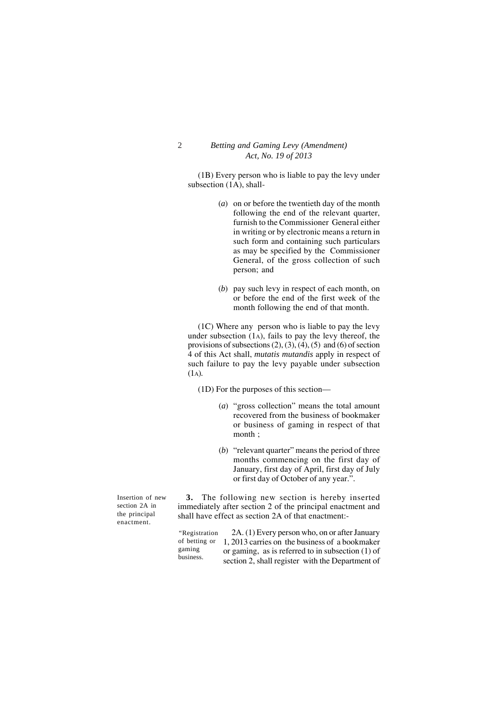#### 2 *Betting and Gaming Levy (Amendment) Act, No. 19 of 2013*

(1B) Every person who is liable to pay the levy under subsection (1A), shall-

- (*a*) on or before the twentieth day of the month following the end of the relevant quarter, furnish to the Commissioner General either in writing or by electronic means a return in such form and containing such particulars as may be specified by the Commissioner General, of the gross collection of such person; and
- (*b*) pay such levy in respect of each month, on or before the end of the first week of the month following the end of that month.

(1C) Where any person who is liable to pay the levy under subsection (1A), fails to pay the levy thereof, the provisions of subsections  $(2)$ ,  $(3)$ ,  $(4)$ ,  $(5)$  and  $(6)$  of section 4 of this Act shall, *mutatis mutandis* apply in respect of such failure to pay the levy payable under subsection  $(1_A)$ .

(1D) For the purposes of this section—

- (*a*) "gross collection" means the total amount recovered from the business of bookmaker or business of gaming in respect of that month ;
- (*b*) "relevant quarter" means the period of three months commencing on the first day of January, first day of April, first day of July or first day of October of any year.".

Insertion of new section 2A in the principal enactment.

**3.** The following new section is hereby inserted immediately after section 2 of the principal enactment and shall have effect as section 2A of that enactment:-

2A. (1) Every person who, on or after January 1, 2013 carries on the business of a bookmaker or gaming, as is referred to in subsection (1) of section 2, shall register with the Department of *"*Registration of betting or gaming business.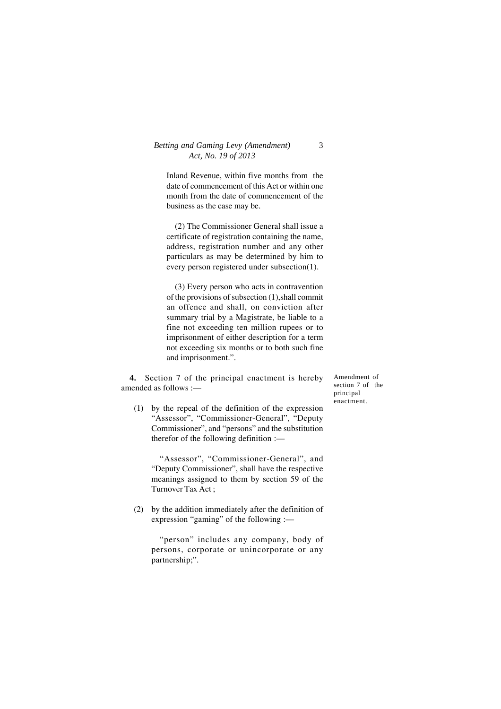### *Betting and Gaming Levy (Amendment)* 3 *Act, No. 19 of 2013*

Inland Revenue, within five months from the date of commencement of this Act or within one month from the date of commencement of the business as the case may be.

(2) The Commissioner General shall issue a certificate of registration containing the name, address, registration number and any other particulars as may be determined by him to every person registered under subsection(1).

(3) Every person who acts in contravention of the provisions of subsection (1),shall commit an offence and shall, on conviction after summary trial by a Magistrate, be liable to a fine not exceeding ten million rupees or to imprisonment of either description for a term not exceeding six months or to both such fine and imprisonment.".

**4.** Section 7 of the principal enactment is hereby amended as follows :—

(1) by the repeal of the definition of the expression "Assessor", "Commissioner-General", "Deputy Commissioner", and "persons" and the substitution therefor of the following definition :—

"Assessor", "Commissioner-General", and "Deputy Commissioner", shall have the respective meanings assigned to them by section 59 of the Turnover Tax Act ;

(2) by the addition immediately after the definition of expression "gaming" of the following :—

"person" includes any company, body of persons, corporate or unincorporate or any partnership;".

Amendment of section 7 of the principal enactment.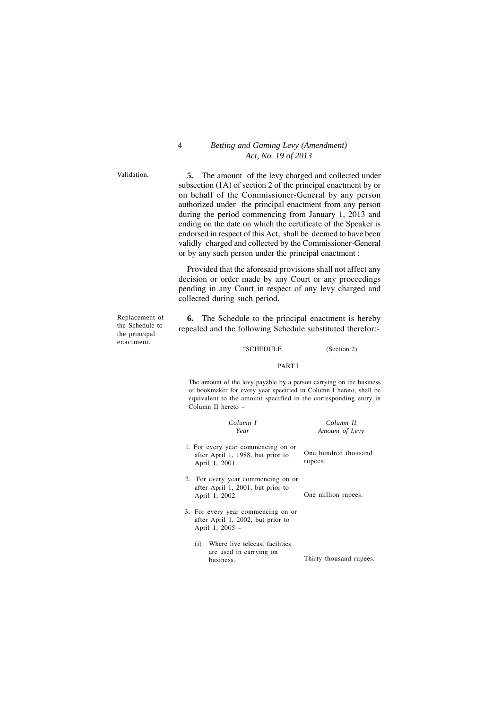#### 4 *Betting and Gaming Levy (Amendment) Act, No. 19 of 2013*

Validation.

**5.** The amount of the levy charged and collected under subsection (1A) of section 2 of the principal enactment by or on behalf of the Commissioner-General by any person authorized under the principal enactment from any person during the period commencing from January 1, 2013 and ending on the date on which the certificate of the Speaker is endorsed in respect of this Act, shall be deemed to have been validly charged and collected by the Commissioner-General or by any such person under the principal enactment :

Provided that the aforesaid provisions shall not affect any decision or order made by any Court or any proceedings pending in any Court in respect of any levy charged and collected during such period.

Replacement of the Schedule to the principal enactment.

**6.** The Schedule to the principal enactment is hereby repealed and the following Schedule substituted therefor:-

#### "SCHEDULE (Section 2)

#### PART PART I**I**

The amount of the levy payable by a person carrying on the business of bookmaker for every year specified in Column I hereto, shall be equivalent to the amount specified in the corresponding entry in Column II hereto –

| Column I                                                                                   | Column II                       |
|--------------------------------------------------------------------------------------------|---------------------------------|
| Year                                                                                       | Amount of Levy                  |
| 1. For every year commencing on or<br>after April 1, 1988, but prior to<br>April 1, 2001.  | One hundred thousand<br>rupees. |
| 2. For every year commencing on or<br>after April 1, 2001, but prior to<br>April 1, 2002.  | One million rupees.             |
| 3. For every year commencing on or<br>after April 1, 2002, but prior to<br>April 1, 2005 - |                                 |
| Where live telecast facilities<br>(i)<br>are used in carrying on<br>business.              | Thirty thousand rupees.         |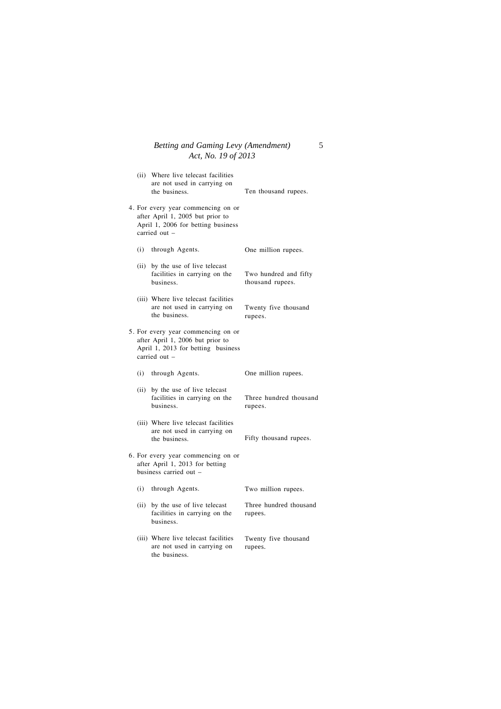#### *Betting and Gaming Levy (Amendment)* 5 *Act, No. 19 of 2013*

|     | (ii) Where live telecast facilities<br>are not used in carrying on<br>the business.                                           | Ten thousand rupees.                      |
|-----|-------------------------------------------------------------------------------------------------------------------------------|-------------------------------------------|
|     | 4. For every year commencing on or<br>after April 1, 2005 but prior to<br>April 1, 2006 for betting business<br>carried out - |                                           |
|     | (i) through Agents.                                                                                                           | One million rupees.                       |
|     | (ii) by the use of live telecast<br>facilities in carrying on the<br>business.                                                | Two hundred and fifty<br>thousand rupees. |
|     | (iii) Where live telecast facilities<br>are not used in carrying on<br>the business.                                          | Twenty five thousand<br>rupees.           |
|     | 5. For every year commencing on or<br>after April 1, 2006 but prior to<br>April 1, 2013 for betting business<br>carried out - |                                           |
|     | (i) through Agents.                                                                                                           | One million rupees.                       |
|     | (ii) by the use of live telecast<br>facilities in carrying on the<br>business.                                                | Three hundred thousand<br>rupees.         |
|     | (iii) Where live telecast facilities<br>are not used in carrying on<br>the business.                                          | Fifty thousand rupees.                    |
|     | 6. For every year commencing on or<br>after April 1, 2013 for betting<br>business carried out -                               |                                           |
| (i) | through Agents.                                                                                                               | Two million rupees.                       |
|     | (ii) by the use of live telecast<br>facilities in carrying on the<br>business.                                                | Three hundred thousand<br>rupees.         |
|     | (iii) Where live telecast facilities<br>are not used in carrying on<br>the business.                                          | Twenty five thousand<br>rupees.           |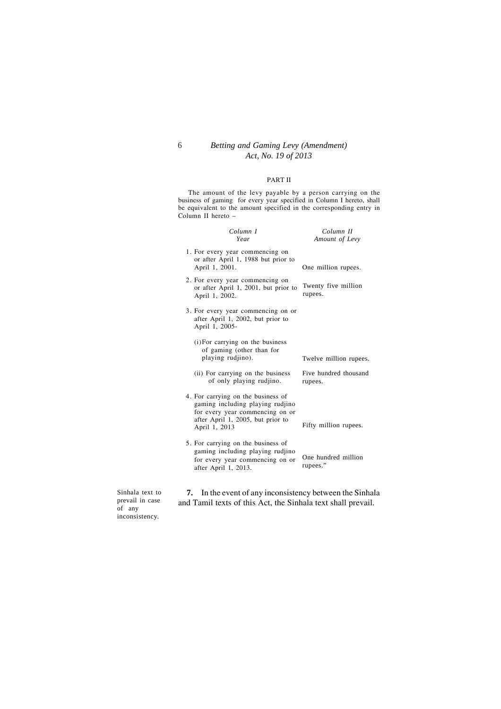## 6 *Betting and Gaming Levy (Amendment) Act, No. 19 of 2013*

#### PART II

The amount of the levy payable by a person carrying on the business of gaming for every year specified in Column I hereto, shall be equivalent to the amount specified in the corresponding entry in Column II hereto –

| Column I<br>Year                                                                                                                                                | Column II<br>Amount of Levy      |
|-----------------------------------------------------------------------------------------------------------------------------------------------------------------|----------------------------------|
| 1. For every year commencing on<br>or after April 1, 1988 but prior to<br>April 1, 2001.                                                                        | One million rupees.              |
| 2. For every year commencing on<br>or after April 1, 2001, but prior to<br>April 1, 2002.                                                                       | Twenty five million<br>rupees.   |
| 3. For every year commencing on or<br>after April 1, 2002, but prior to<br>April 1, 2005-                                                                       |                                  |
| (i) For carrying on the business<br>of gaming (other than for<br>playing rudjino).                                                                              | Twelve million rupees.           |
| (ii) For carrying on the business<br>of only playing rudjino.                                                                                                   | Five hundred thousand<br>rupees. |
| 4. For carrying on the business of<br>gaming including playing rudjino<br>for every year commencing on or<br>after April 1, 2005, but prior to<br>April 1, 2013 | Fifty million rupees.            |
| 5. For carrying on the business of<br>gaming including playing rudjino<br>for every year commencing on or<br>after April 1, 2013.                               | One hundred million<br>rupees."  |
|                                                                                                                                                                 |                                  |

Sinhala text to prevail in case of any inconsistency.

**7.** In the event of any inconsistency between the Sinhala and Tamil texts of this Act, the Sinhala text shall prevail.